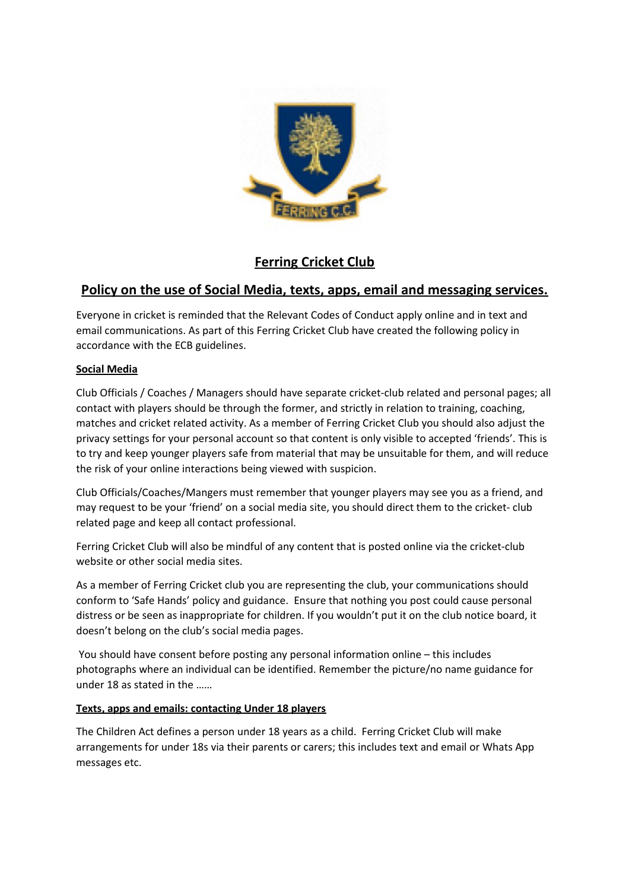

# **Ferring Cricket Club**

# **Policy on the use of Social Media, texts, apps, email and messaging services.**

Everyone in cricket is reminded that the Relevant Codes of Conduct apply online and in text and email communications. As part of this Ferring Cricket Club have created the following policy in accordance with the ECB guidelines.

## **Social Media**

Club Officials / Coaches / Managers should have separate cricket-club related and personal pages; all contact with players should be through the former, and strictly in relation to training, coaching, matches and cricket related activity. As a member of Ferring Cricket Club you should also adjust the privacy settings for your personal account so that content is only visible to accepted 'friends'. This is to try and keep younger players safe from material that may be unsuitable for them, and will reduce the risk of your online interactions being viewed with suspicion.

Club Officials/Coaches/Mangers must remember that younger players may see you as a friend, and may request to be your 'friend' on a social media site, you should direct them to the cricket- club related page and keep all contact professional.

Ferring Cricket Club will also be mindful of any content that is posted online via the cricket-club website or other social media sites.

As a member of Ferring Cricket club you are representing the club, your communications should conform to 'Safe Hands' policy and guidance. Ensure that nothing you post could cause personal distress or be seen as inappropriate for children. If you wouldn't put it on the club notice board, it doesn't belong on the club's social media pages.

 You should have consent before posting any personal information online – this includes photographs where an individual can be identified. Remember the picture/no name guidance for under 18 as stated in the ……

## **Texts, apps and emails: contacting Under 18 players**

The Children Act defines a person under 18 years as a child. Ferring Cricket Club will make arrangements for under 18s via their parents or carers; this includes text and email or Whats App messages etc.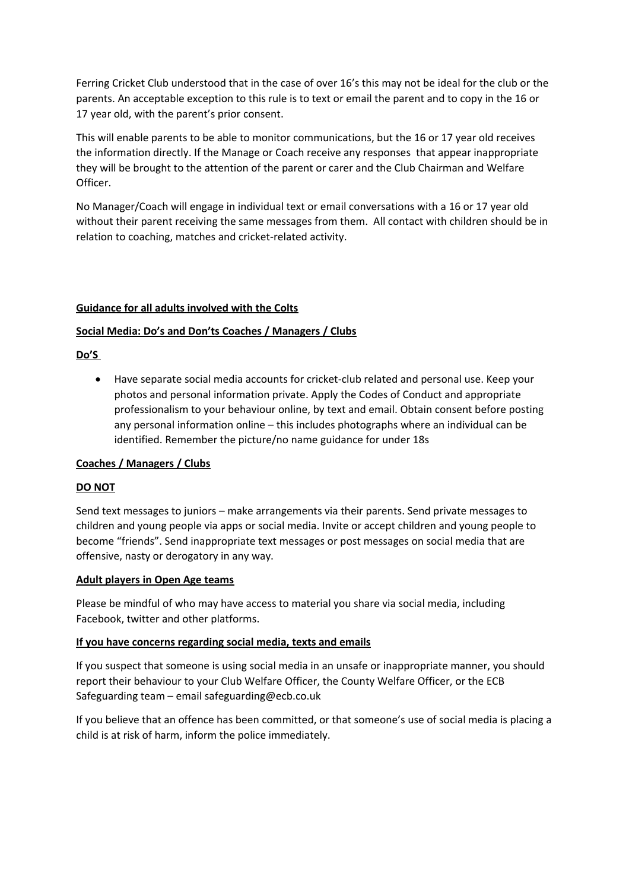Ferring Cricket Club understood that in the case of over 16's this may not be ideal for the club or the parents. An acceptable exception to this rule is to text or email the parent and to copy in the 16 or 17 year old, with the parent's prior consent.

This will enable parents to be able to monitor communications, but the 16 or 17 year old receives the information directly. If the Manage or Coach receive any responses that appear inappropriate they will be brought to the attention of the parent or carer and the Club Chairman and Welfare Officer.

No Manager/Coach will engage in individual text or email conversations with a 16 or 17 year old without their parent receiving the same messages from them. All contact with children should be in relation to coaching, matches and cricket-related activity.

## **Guidance for all adults involved with the Colts**

## **Social Media: Do's and Don'ts Coaches / Managers / Clubs**

## **Do'S**

 Have separate social media accounts for cricket-club related and personal use. Keep your photos and personal information private. Apply the Codes of Conduct and appropriate professionalism to your behaviour online, by text and email. Obtain consent before posting any personal information online – this includes photographs where an individual can be identified. Remember the picture/no name guidance for under 18s

#### **Coaches / Managers / Clubs**

#### **DO NOT**

Send text messages to juniors – make arrangements via their parents. Send private messages to children and young people via apps or social media. Invite or accept children and young people to become "friends". Send inappropriate text messages or post messages on social media that are offensive, nasty or derogatory in any way.

#### **Adult players in Open Age teams**

Please be mindful of who may have access to material you share via social media, including Facebook, twitter and other platforms.

#### **If you have concerns regarding social media, texts and emails**

If you suspect that someone is using social media in an unsafe or inappropriate manner, you should report their behaviour to your Club Welfare Officer, the County Welfare Officer, or the ECB Safeguarding team – email safeguarding@ecb.co.uk

If you believe that an offence has been committed, or that someone's use of social media is placing a child is at risk of harm, inform the police immediately.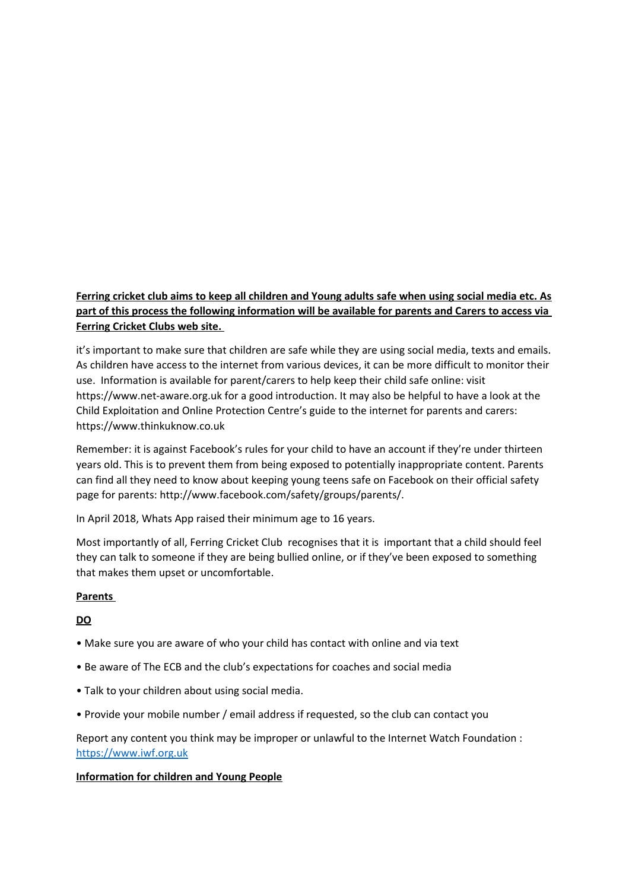## **Ferring cricket club aims to keep all children and Young adults safe when using social media etc. As part of this process the following information will be available for parents and Carers to access via Ferring Cricket Clubs web site.**

it's important to make sure that children are safe while they are using social media, texts and emails. As children have access to the internet from various devices, it can be more difficult to monitor their use. Information is available for parent/carers to help keep their child safe online: visit https://www.net-aware.org.uk for a good introduction. It may also be helpful to have a look at the Child Exploitation and Online Protection Centre's guide to the internet for parents and carers: https://www.thinkuknow.co.uk

Remember: it is against Facebook's rules for your child to have an account if they're under thirteen years old. This is to prevent them from being exposed to potentially inappropriate content. Parents can find all they need to know about keeping young teens safe on Facebook on their official safety page for parents: http://www.facebook.com/safety/groups/parents/.

In April 2018, Whats App raised their minimum age to 16 years.

Most importantly of all, Ferring Cricket Club recognises that it is important that a child should feel they can talk to someone if they are being bullied online, or if they've been exposed to something that makes them upset or uncomfortable.

## **Parents**

## **DO**

- Make sure you are aware of who your child has contact with online and via text
- Be aware of The ECB and the club's expectations for coaches and social media
- Talk to your children about using social media.
- Provide your mobile number / email address if requested, so the club can contact you

Report any content you think may be improper or unlawful to the Internet Watch Foundation : [https://www.iwf.org.uk](https://www.iwf.org.uk/)

## **Information for children and Young People**